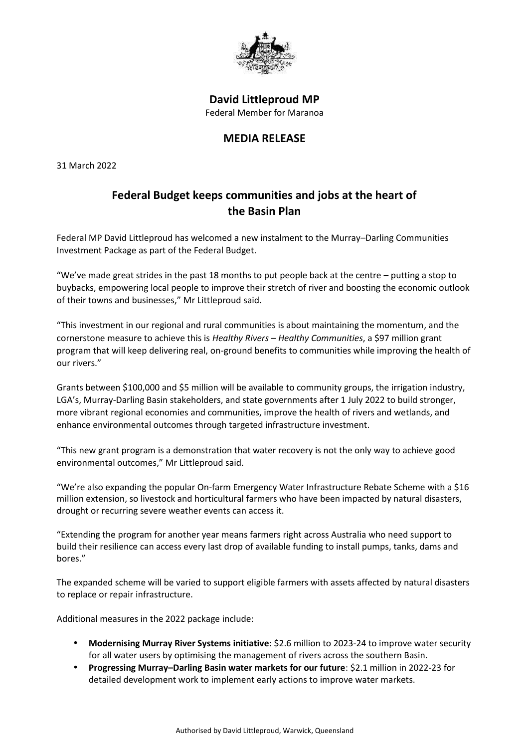

**David Littleproud MP** Federal Member for Maranoa

## **MEDIA RELEASE**

31 March 2022

## **Federal Budget keeps communities and jobs at the heart of the Basin Plan**

Federal MP David Littleproud has welcomed a new instalment to the Murray–Darling Communities Investment Package as part of the Federal Budget.

"We've made great strides in the past 18 months to put people back at the centre – putting a stop to buybacks, empowering local people to improve their stretch of river and boosting the economic outlook of their towns and businesses," Mr Littleproud said.

"This investment in our regional and rural communities is about maintaining the momentum, and the cornerstone measure to achieve this is *Healthy Rivers – Healthy Communities*, a \$97 million grant program that will keep delivering real, on-ground benefits to communities while improving the health of our rivers."

Grants between \$100,000 and \$5 million will be available to community groups, the irrigation industry, LGA's, Murray-Darling Basin stakeholders, and state governments after 1 July 2022 to build stronger, more vibrant regional economies and communities, improve the health of rivers and wetlands, and enhance environmental outcomes through targeted infrastructure investment.

"This new grant program is a demonstration that water recovery is not the only way to achieve good environmental outcomes," Mr Littleproud said.

"We're also expanding the popular On-farm Emergency Water Infrastructure Rebate Scheme with a \$16 million extension, so livestock and horticultural farmers who have been impacted by natural disasters, drought or recurring severe weather events can access it.

"Extending the program for another year means farmers right across Australia who need support to build their resilience can access every last drop of available funding to install pumps, tanks, dams and bores."

The expanded scheme will be varied to support eligible farmers with assets affected by natural disasters to replace or repair infrastructure.

Additional measures in the 2022 package include:

- **Modernising Murray River Systems initiative:** \$2.6 million to 2023-24 to improve water security for all water users by optimising the management of rivers across the southern Basin.
- **Progressing Murray–Darling Basin water markets for our future**: \$2.1 million in 2022-23 for detailed development work to implement early actions to improve water markets.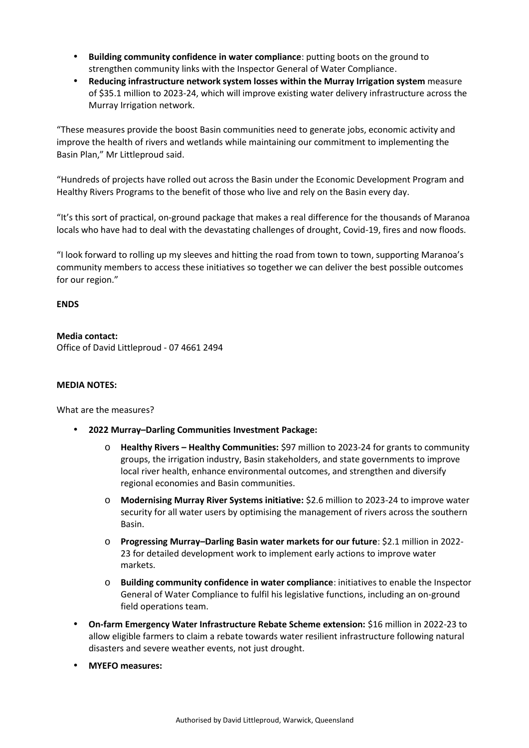- **Building community confidence in water compliance**: putting boots on the ground to strengthen community links with the Inspector General of Water Compliance.
- **Reducing infrastructure network system losses within the Murray Irrigation system** measure of \$35.1 million to 2023-24, which will improve existing water delivery infrastructure across the Murray Irrigation network.

"These measures provide the boost Basin communities need to generate jobs, economic activity and improve the health of rivers and wetlands while maintaining our commitment to implementing the Basin Plan," Mr Littleproud said.

"Hundreds of projects have rolled out across the Basin under the Economic Development Program and Healthy Rivers Programs to the benefit of those who live and rely on the Basin every day.

"It's this sort of practical, on-ground package that makes a real difference for the thousands of Maranoa locals who have had to deal with the devastating challenges of drought, Covid-19, fires and now floods.

"I look forward to rolling up my sleeves and hitting the road from town to town, supporting Maranoa's community members to access these initiatives so together we can deliver the best possible outcomes for our region."

## **ENDS**

**Media contact:**

Office of David Littleproud - 07 4661 2494

## **MEDIA NOTES:**

What are the measures?

- **2022 Murray–Darling Communities Investment Package:**
	- o **Healthy Rivers – Healthy Communities:** \$97 million to 2023-24 for grants to community groups, the irrigation industry, Basin stakeholders, and state governments to improve local river health, enhance environmental outcomes, and strengthen and diversify regional economies and Basin communities.
	- o **Modernising Murray River Systems initiative:** \$2.6 million to 2023-24 to improve water security for all water users by optimising the management of rivers across the southern Basin.
	- o **Progressing Murray–Darling Basin water markets for our future**: \$2.1 million in 2022- 23 for detailed development work to implement early actions to improve water markets.
	- o **Building community confidence in water compliance**: initiatives to enable the Inspector General of Water Compliance to fulfil his legislative functions, including an on-ground field operations team.
- **On-farm Emergency Water Infrastructure Rebate Scheme extension:** \$16 million in 2022-23 to allow eligible farmers to claim a rebate towards water resilient infrastructure following natural disasters and severe weather events, not just drought.

**MYEFO measures:**